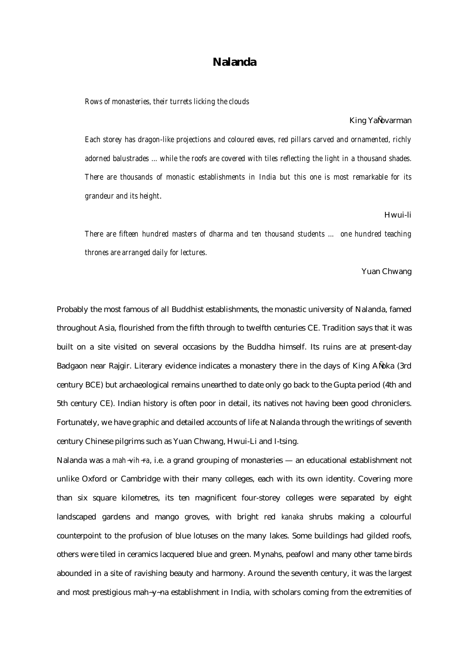# **Nalanda**

*Rows of monasteries, their turrets licking the clouds*

#### King YaÑvarman

*Each storey has dragon-like projections and coloured eaves, red pillars carved and ornamented, richly adorned balustrades ... while the roofs are covered with tiles reflecting the light in a thousand shades. There are thousands of monastic establishments in India but this one is most remarkable for its grandeur and its height*.

### Hwui-li

*There are fifteen hundred masters of dharma and ten thousand students ... one hundred teaching thrones are arranged daily for lectures.* 

# Yuan Chwang

Probably the most famous of all Buddhist establishments, the monastic university of Nalanda, famed throughout Asia, flourished from the fifth through to twelfth centuries CE. Tradition says that it was built on a site visited on several occasions by the Buddha himself. Its ruins are at present-day Badgaon near Rajgir. Literary evidence indicates a monastery there in the days of King AÑoka (3rd century BCE) but archaeological remains unearthed to date only go back to the Gupta period (4th and 5th century CE). Indian history is often poor in detail, its natives not having been good chroniclers. Fortunately, we have graphic and detailed accounts of life at Nalanda through the writings of seventh century Chinese pilgrims such as Yuan Chwang, Hwui-Li and I-tsing.

Nalanda was a *mah*~*vih*~*ra*, i.e. a grand grouping of monasteries — an educational establishment not unlike Oxford or Cambridge with their many colleges, each with its own identity. Covering more than six square kilometres, its ten magnificent four-storey colleges were separated by eight landscaped gardens and mango groves, with bright red *kanaka* shrubs making a colourful counterpoint to the profusion of blue lotuses on the many lakes. Some buildings had gilded roofs, others were tiled in ceramics lacquered blue and green. Mynahs, peafowl and many other tame birds abounded in a site of ravishing beauty and harmony. Around the seventh century, it was the largest and most prestigious mah~y~na establishment in India, with scholars coming from the extremities of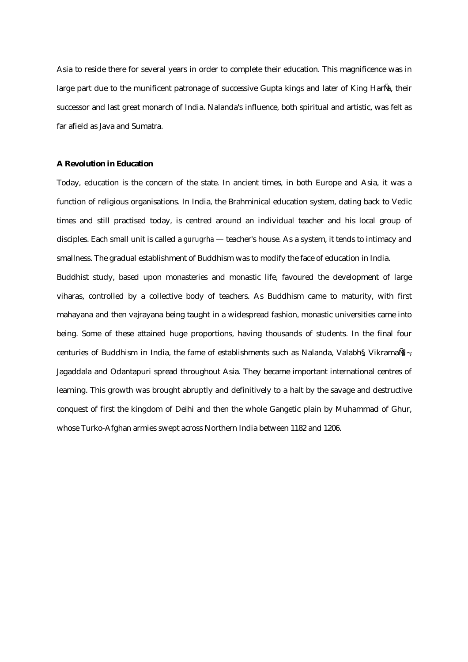Asia to reside there for several years in order to complete their education. This magnificence was in large part due to the munificent patronage of successive Gupta kings and later of King HarÑa, their successor and last great monarch of India. Nalanda's influence, both spiritual and artistic, was felt as far afield as Java and Sumatra.

# **A Revolution in Education**

Today, education is the concern of the state. In ancient times, in both Europe and Asia, it was a function of religious organisations. In India, the Brahminical education system, dating back to Vedic times and still practised today, is centred around an individual teacher and his local group of disciples. Each small unit is called a *gurugrha* — teacher's house. As a system, it tends to intimacy and smallness. The gradual establishment of Buddhism was to modify the face of education in India.

Buddhist study, based upon monasteries and monastic life, favoured the development of large viharas, controlled by a collective body of teachers. As Buddhism came to maturity, with first mahayana and then vajrayana being taught in a widespread fashion, monastic universities came into being. Some of these attained huge proportions, having thousands of students. In the final four centuries of Buddhism in India, the fame of establishments such as Nalanda, Valabh§ Vikrama $\mathbb{N}_{\sim}$ , Jagaddala and Odantapuri spread throughout Asia. They became important international centres of learning. This growth was brought abruptly and definitively to a halt by the savage and destructive conquest of first the kingdom of Delhi and then the whole Gangetic plain by Muhammad of Ghur, whose Turko-Afghan armies swept across Northern India between 1182 and 1206.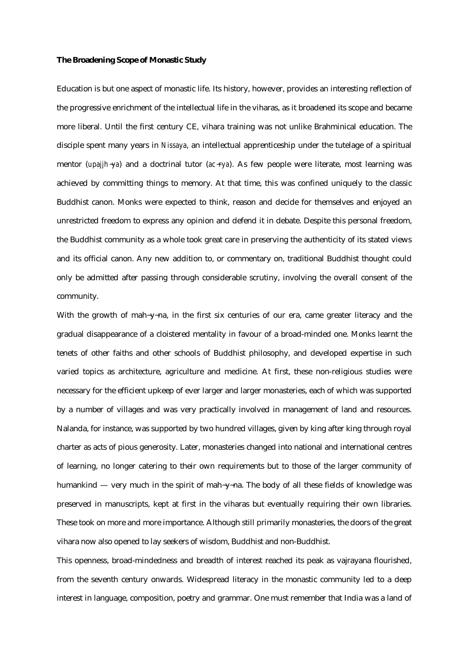### **The Broadening Scope of Monastic Study**

Education is but one aspect of monastic life. Its history, however, provides an interesting reflection of the progressive enrichment of the intellectual life in the viharas, as it broadened its scope and became more liberal. Until the first century CE, vihara training was not unlike Brahminical education. The disciple spent many years in *Nissaya*, an intellectual apprenticeship under the tutelage of a spiritual mentor (*upajjh*-ya) and a doctrinal tutor (*ac*-*rya*). As few people were literate, most learning was achieved by committing things to memory. At that time, this was confined uniquely to the classic Buddhist canon. Monks were expected to think, reason and decide for themselves and enjoyed an unrestricted freedom to express any opinion and defend it in debate. Despite this personal freedom, the Buddhist community as a whole took great care in preserving the authenticity of its stated views and its official canon. Any new addition to, or commentary on, traditional Buddhist thought could only be admitted after passing through considerable scrutiny, involving the overall consent of the community.

With the growth of mah-y-na, in the first six centuries of our era, came greater literacy and the gradual disappearance of a cloistered mentality in favour of a broad-minded one. Monks learnt the tenets of other faiths and other schools of Buddhist philosophy, and developed expertise in such varied topics as architecture, agriculture and medicine. At first, these non-religious studies were necessary for the efficient upkeep of ever larger and larger monasteries, each of which was supported by a number of villages and was very practically involved in management of land and resources. Nalanda, for instance, was supported by two hundred villages, given by king after king through royal charter as acts of pious generosity. Later, monasteries changed into national and international centres of learning, no longer catering to their own requirements but to those of the larger community of humankind — very much in the spirit of mah-y-na. The body of all these fields of knowledge was preserved in manuscripts, kept at first in the viharas but eventually requiring their own libraries. These took on more and more importance. Although still primarily monasteries, the doors of the great vihara now also opened to lay seekers of wisdom, Buddhist and non-Buddhist.

This openness, broad-mindedness and breadth of interest reached its peak as vajrayana flourished, from the seventh century onwards. Widespread literacy in the monastic community led to a deep interest in language, composition, poetry and grammar. One must remember that India was a land of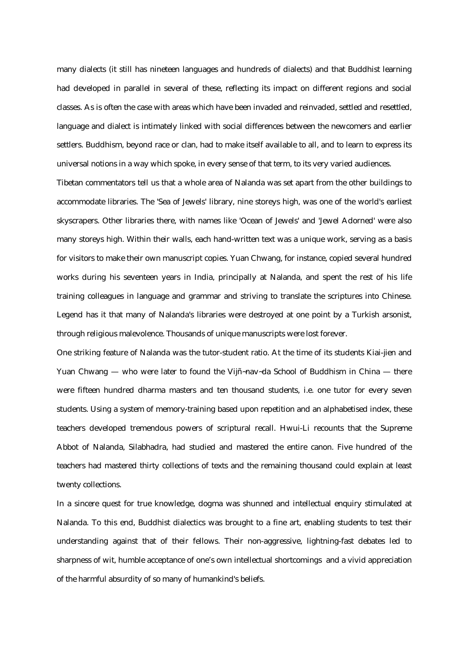many dialects (it still has nineteen languages and hundreds of dialects) and that Buddhist learning had developed in parallel in several of these, reflecting its impact on different regions and social classes. As is often the case with areas which have been invaded and reinvaded, settled and resettled, language and dialect is intimately linked with social differences between the newcomers and earlier settlers. Buddhism, beyond race or clan, had to make itself available to all, and to learn to express its universal notions in a way which spoke, in every sense of that term, to its very varied audiences.

Tibetan commentators tell us that a whole area of Nalanda was set apart from the other buildings to accommodate libraries. The 'Sea of Jewels' library, nine storeys high, was one of the world's earliest skyscrapers. Other libraries there, with names like 'Ocean of Jewels' and 'Jewel Adorned' were also many storeys high. Within their walls, each hand-written text was a unique work, serving as a basis for visitors to make their own manuscript copies. Yuan Chwang, for instance, copied several hundred works during his seventeen years in India, principally at Nalanda, and spent the rest of his life training colleagues in language and grammar and striving to translate the scriptures into Chinese. Legend has it that many of Nalanda's libraries were destroyed at one point by a Turkish arsonist, through religious malevolence. Thousands of unique manuscripts were lost forever.

One striking feature of Nalanda was the tutor-student ratio. At the time of its students Kiai-jien and Yuan Chwang — who were later to found the Vijñ~nav~da School of Buddhism in China — there were fifteen hundred dharma masters and ten thousand students, i.e. one tutor for every seven students. Using a system of memory-training based upon repetition and an alphabetised index, these teachers developed tremendous powers of scriptural recall. Hwui-Li recounts that the Supreme Abbot of Nalanda, Silabhadra, had studied and mastered the entire canon. Five hundred of the teachers had mastered thirty collections of texts and the remaining thousand could explain at least twenty collections.

In a sincere quest for true knowledge, dogma was shunned and intellectual enquiry stimulated at Nalanda. To this end, Buddhist dialectics was brought to a fine art, enabling students to test their understanding against that of their fellows. Their non-aggressive, lightning-fast debates led to sharpness of wit, humble acceptance of one's own intellectual shortcomings and a vivid appreciation of the harmful absurdity of so many of humankind's beliefs.